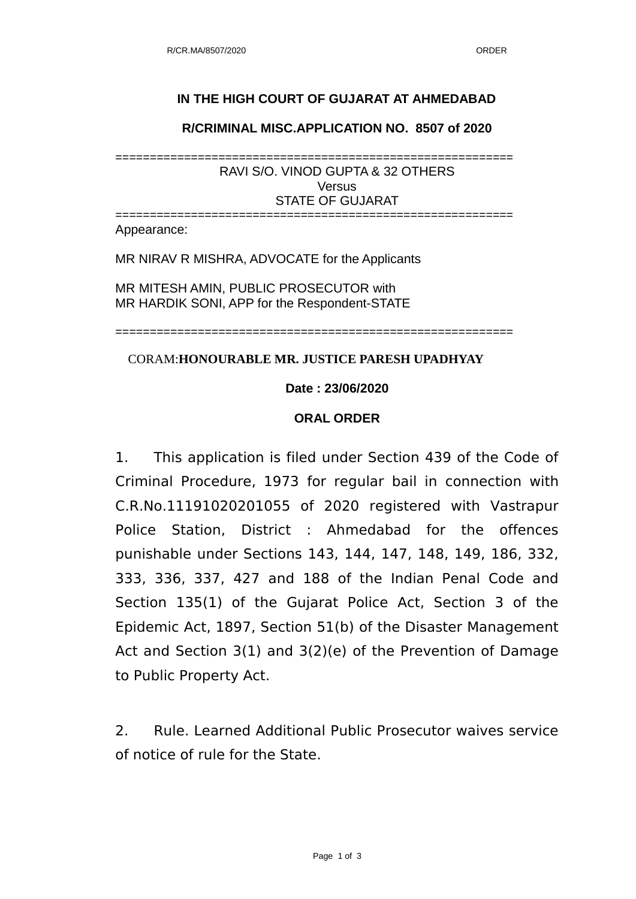## **IN THE HIGH COURT OF GUJARAT AT AHMEDABAD**

**R/CRIMINAL MISC.APPLICATION NO. 8507 of 2020**

========================================================== RAVI S/O. VINOD GUPTA & 32 OTHERS Versus STATE OF GUJARAT

========================================================== Appearance:

MR NIRAV R MISHRA, ADVOCATE for the Applicants

MR MITESH AMIN, PUBLIC PROSECUTOR with MR HARDIK SONI, APP for the Respondent-STATE

==========================================================

CORAM:**HONOURABLE MR. JUSTICE PARESH UPADHYAY**

## **Date : 23/06/2020**

## **ORAL ORDER**

1. This application is filed under Section 439 of the Code of Criminal Procedure, 1973 for regular bail in connection with C.R.No.11191020201055 of 2020 registered with Vastrapur Police Station, District : Ahmedabad for the offences punishable under Sections 143, 144, 147, 148, 149, 186, 332, 333, 336, 337, 427 and 188 of the Indian Penal Code and Section 135(1) of the Gujarat Police Act, Section 3 of the Epidemic Act, 1897, Section 51(b) of the Disaster Management Act and Section 3(1) and 3(2)(e) of the Prevention of Damage to Public Property Act.

2. Rule. Learned Additional Public Prosecutor waives service of notice of rule for the State.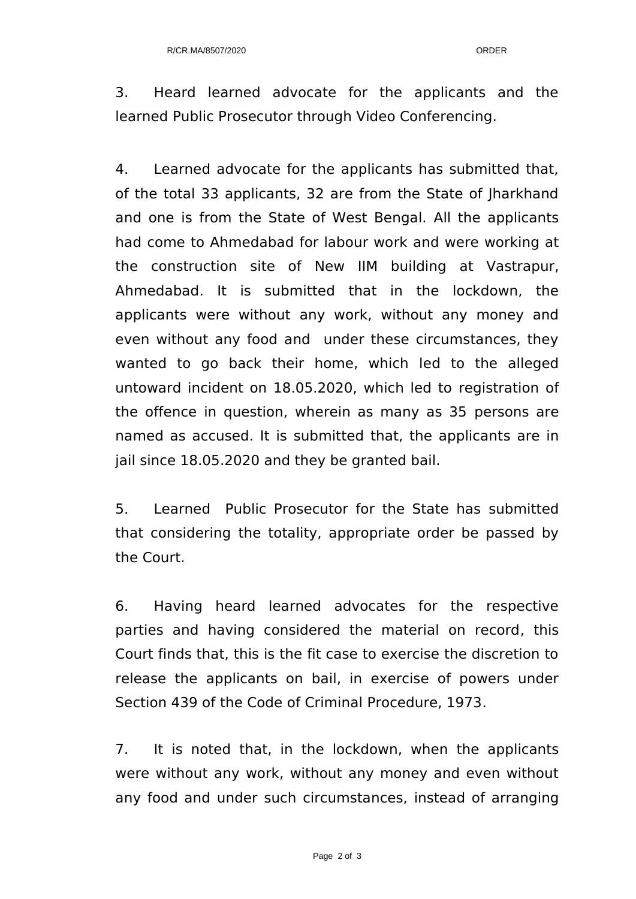3. Heard learned advocate for the applicants and the learned Public Prosecutor through Video Conferencing.

4. Learned advocate for the applicants has submitted that, of the total 33 applicants, 32 are from the State of Jharkhand and one is from the State of West Bengal. All the applicants had come to Ahmedabad for labour work and were working at the construction site of New IIM building at Vastrapur, Ahmedabad. It is submitted that in the lockdown, the applicants were without any work, without any money and even without any food and under these circumstances, they wanted to go back their home, which led to the alleged untoward incident on 18.05.2020, which led to registration of the offence in question, wherein as many as 35 persons are named as accused. It is submitted that, the applicants are in jail since 18.05.2020 and they be granted bail.

5. Learned Public Prosecutor for the State has submitted that considering the totality, appropriate order be passed by the Court.

6. Having heard learned advocates for the respective parties and having considered the material on record, this Court finds that, this is the fit case to exercise the discretion to release the applicants on bail, in exercise of powers under Section 439 of the Code of Criminal Procedure, 1973.

7. It is noted that, in the lockdown, when the applicants were without any work, without any money and even without any food and under such circumstances, instead of arranging